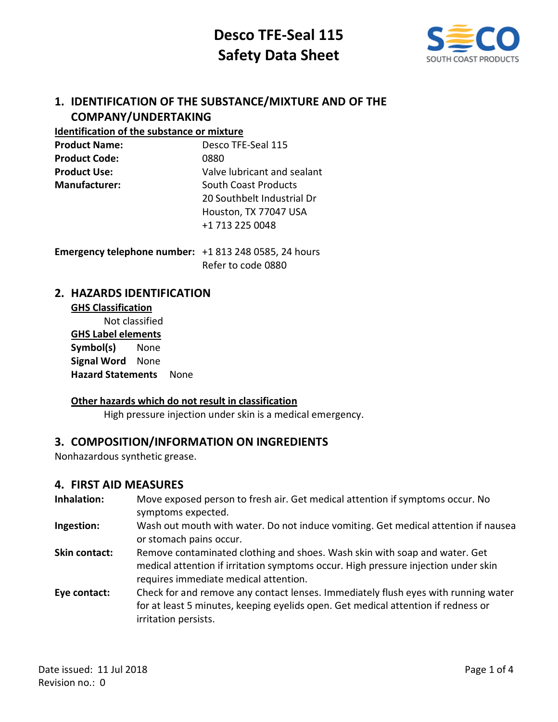

# **1. IDENTIFICATION OF THE SUBSTANCE/MIXTURE AND OF THE COMPANY/UNDERTAKING**

### **Identification of the substance or mixture**

| <b>Product Name:</b> | Desco TFE-Seal 115          |
|----------------------|-----------------------------|
| <b>Product Code:</b> | 0880                        |
| <b>Product Use:</b>  | Valve lubricant and sealant |
| <b>Manufacturer:</b> | <b>South Coast Products</b> |
|                      | 20 Southbelt Industrial Dr  |
|                      | Houston, TX 77047 USA       |
|                      | +1 713 225 0048             |
|                      |                             |

**Emergency telephone number:** +1 813 248 0585, 24 hours Refer to code 0880

## **2. HAZARDS IDENTIFICATION**

# **GHS Classification** Not classified **GHS Label elements Symbol(s)** None **Signal Word** None **Hazard Statements** None

### **Other hazards which do not result in classification**

High pressure injection under skin is a medical emergency.

# **3. COMPOSITION/INFORMATION ON INGREDIENTS**

Nonhazardous synthetic grease.

### **4. FIRST AID MEASURES**

- **Inhalation:** Move exposed person to fresh air. Get medical attention if symptoms occur. No symptoms expected.
- **Ingestion:** Wash out mouth with water. Do not induce vomiting. Get medical attention if nausea or stomach pains occur.
- **Skin contact:** Remove contaminated clothing and shoes. Wash skin with soap and water. Get medical attention if irritation symptoms occur. High pressure injection under skin requires immediate medical attention.
- **Eye contact:** Check for and remove any contact lenses. Immediately flush eyes with running water for at least 5 minutes, keeping eyelids open. Get medical attention if redness or irritation persists.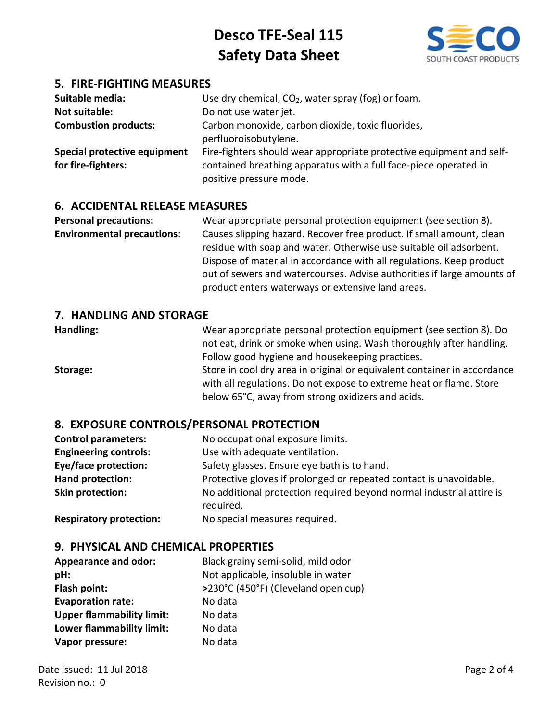

## **5. FIRE-FIGHTING MEASURES**

| Suitable media:<br>Not suitable:<br><b>Combustion products:</b> | Use dry chemical, $CO2$ , water spray (fog) or foam.<br>Do not use water jet.<br>Carbon monoxide, carbon dioxide, toxic fluorides,<br>perfluoroisobutylene.         |
|-----------------------------------------------------------------|---------------------------------------------------------------------------------------------------------------------------------------------------------------------|
| Special protective equipment<br>for fire-fighters:              | Fire-fighters should wear appropriate protective equipment and self-<br>contained breathing apparatus with a full face-piece operated in<br>positive pressure mode. |

### **6. ACCIDENTAL RELEASE MEASURES**

**Personal precautions:** Wear appropriate personal protection equipment (see section 8). **Environmental precautions**: Causes slipping hazard. Recover free product. If small amount, clean residue with soap and water. Otherwise use suitable oil adsorbent. Dispose of material in accordance with all regulations. Keep product out of sewers and watercourses. Advise authorities if large amounts of product enters waterways or extensive land areas.

### **7. HANDLING AND STORAGE**

**Handling:** Wear appropriate personal protection equipment (see section 8). Do not eat, drink or smoke when using. Wash thoroughly after handling. Follow good hygiene and housekeeping practices. **Storage:** Store in cool dry area in original or equivalent container in accordance with all regulations. Do not expose to extreme heat or flame. Store below 65°C, away from strong oxidizers and acids.

### **8. EXPOSURE CONTROLS/PERSONAL PROTECTION**

| <b>Control parameters:</b>   | No occupational exposure limits.                                                  |
|------------------------------|-----------------------------------------------------------------------------------|
| <b>Engineering controls:</b> | Use with adequate ventilation.                                                    |
| <b>Eye/face protection:</b>  | Safety glasses. Ensure eye bath is to hand.                                       |
| <b>Hand protection:</b>      | Protective gloves if prolonged or repeated contact is unavoidable.                |
| Skin protection:             | No additional protection required beyond normal industrial attire is<br>required. |
|                              |                                                                                   |

**Respiratory protection:** No special measures required.

### **9. PHYSICAL AND CHEMICAL PROPERTIES**

| <b>Appearance and odor:</b>      | Black grainy semi-solid, mild odor  |
|----------------------------------|-------------------------------------|
| pH:                              | Not applicable, insoluble in water  |
| Flash point:                     | >230°C (450°F) (Cleveland open cup) |
| <b>Evaporation rate:</b>         | No data                             |
| <b>Upper flammability limit:</b> | No data                             |
| Lower flammability limit:        | No data                             |
| Vapor pressure:                  | No data                             |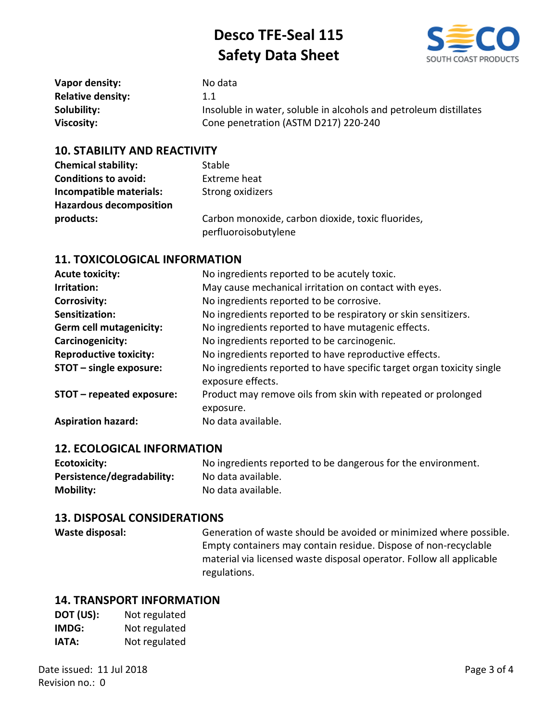

| Vapor density:           | No data                                                           |
|--------------------------|-------------------------------------------------------------------|
| <b>Relative density:</b> | 1.1                                                               |
| Solubility:              | Insoluble in water, soluble in alcohols and petroleum distillates |
| Viscosity:               | Cone penetration (ASTM D217) 220-240                              |

### **10. STABILITY AND REACTIVITY**

| <b>Chemical stability:</b>     | Stable                                                                    |
|--------------------------------|---------------------------------------------------------------------------|
| <b>Conditions to avoid:</b>    | Extreme heat                                                              |
| Incompatible materials:        | Strong oxidizers                                                          |
| <b>Hazardous decomposition</b> |                                                                           |
| products:                      | Carbon monoxide, carbon dioxide, toxic fluorides,<br>perfluoroisobutylene |

### **11. TOXICOLOGICAL INFORMATION**

| <b>Acute toxicity:</b>         | No ingredients reported to be acutely toxic.                                               |
|--------------------------------|--------------------------------------------------------------------------------------------|
| Irritation:                    | May cause mechanical irritation on contact with eyes.                                      |
| <b>Corrosivity:</b>            | No ingredients reported to be corrosive.                                                   |
| Sensitization:                 | No ingredients reported to be respiratory or skin sensitizers.                             |
| <b>Germ cell mutagenicity:</b> | No ingredients reported to have mutagenic effects.                                         |
| Carcinogenicity:               | No ingredients reported to be carcinogenic.                                                |
| <b>Reproductive toxicity:</b>  | No ingredients reported to have reproductive effects.                                      |
| STOT - single exposure:        | No ingredients reported to have specific target organ toxicity single<br>exposure effects. |
| STOT - repeated exposure:      | Product may remove oils from skin with repeated or prolonged<br>exposure.                  |
| <b>Aspiration hazard:</b>      | No data available.                                                                         |

### **12. ECOLOGICAL INFORMATION**

| Ecotoxicity:               | No ingredients reported to be dangerous for the environment. |
|----------------------------|--------------------------------------------------------------|
| Persistence/degradability: | No data available.                                           |
| <b>Mobility:</b>           | No data available.                                           |

### **13. DISPOSAL CONSIDERATIONS**

**Waste disposal:** Generation of waste should be avoided or minimized where possible. Empty containers may contain residue. Dispose of non-recyclable material via licensed waste disposal operator. Follow all applicable regulations.

### **14. TRANSPORT INFORMATION**

| DOT (US): | Not regulated |
|-----------|---------------|
| IMDG:     | Not regulated |
| IATA:     | Not regulated |